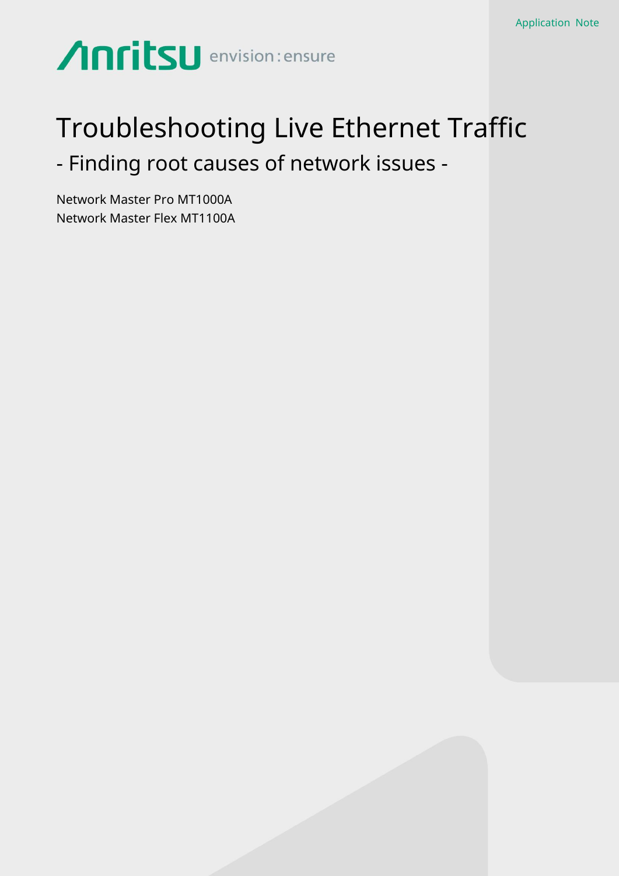# Anritsu envision: ensure

# Troubleshooting Live Ethernet Traffic - Finding root causes of network issues -

Network Master Pro MT1000A Network Master Flex MT1100A

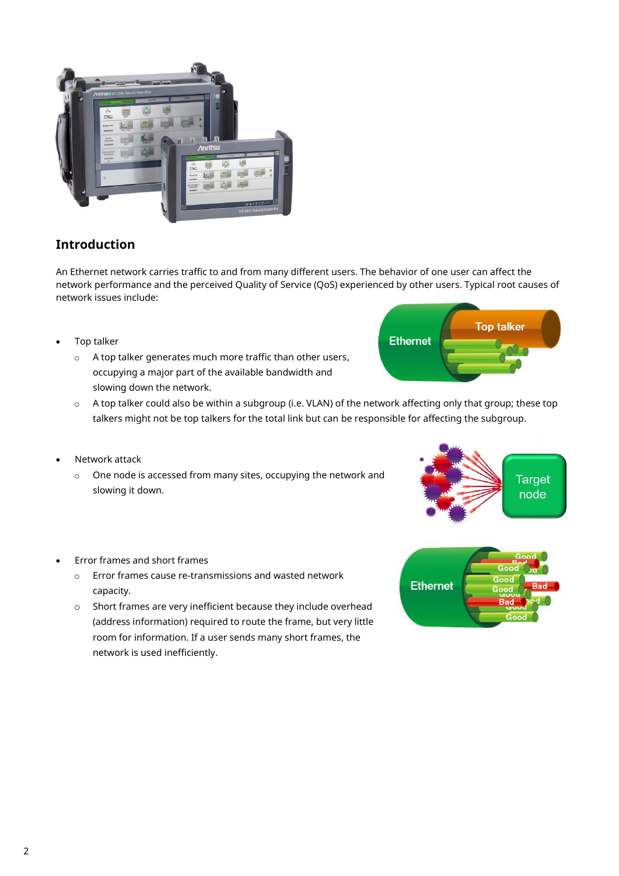

# **Introduction**

An Ethernet network carries traffic to and from many different users. The behavior of one user can affect the network performance and the perceived Quality of Service (QoS) experienced by other users. Typical root causes of network issues include:

- Top talker
	- o A top talker generates much more traffic than other users, occupying a major part of the available bandwidth and slowing down the network.



- o A top talker could also be within a subgroup (i.e. VLAN) of the network affecting only that group; these top talkers might not be top talkers for the total link but can be responsible for affecting the subgroup.
- Network attack
	- o One node is accessed from many sites, occupying the network and slowing it down.





- Error frames and short frames
	- o Error frames cause re-transmissions and wasted network capacity.
	- o Short frames are very inefficient because they include overhead (address information) required to route the frame, but very little room for information. If a user sends many short frames, the network is used inefficiently.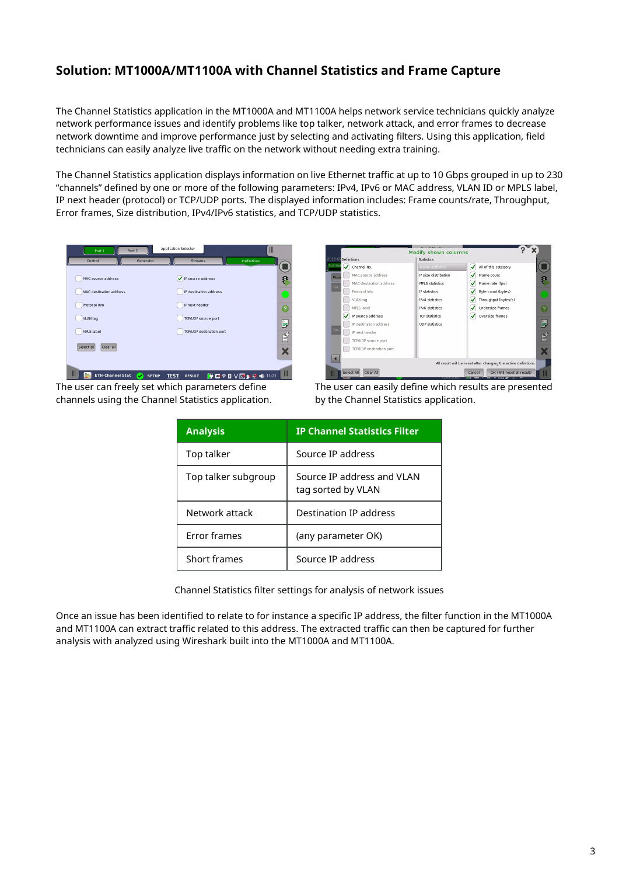# **Solution: MT1000A/MT1100A with Channel Statistics and Frame Capture**

The Channel Statistics application in the MT1000A and MT1100A helps network service technicians quickly analyze network performance issues and identify problems like top talker, network attack, and error frames to decrease network downtime and improve performance just by selecting and activating filters. Using this application, field technicians can easily analyze live traffic on the network without needing extra training.

The Channel Statistics application displays information on live Ethernet traffic at up to 10 Gbps grouped in up to 230 "channels" defined by one or more of the following parameters: IPv4, IPv6 or MAC address, VLAN ID or MPLS label, IP next header (protocol) or TCP/UDP ports. The displayed information includes: Frame counts/rate, Throughput, Error frames, Size distribution, IPv4/IPv6 statistics, and TCP/UDP statistics.



Ⅲ General Channel Stat ● SETUP TEST RESULT 单四字图 V区象星 HD 11:21 Ⅲ The user can freely set which parameters define channels using the Channel Statistics application.



The user can easily define which results are presented by the Channel Statistics application.

| <b>Analysis</b>     | <b>IP Channel Statistics Filter</b>              |
|---------------------|--------------------------------------------------|
| Top talker          | Source IP address                                |
| Top talker subgroup | Source IP address and VLAN<br>tag sorted by VLAN |
| Network attack      | Destination IP address                           |
| <b>Frror frames</b> | (any parameter OK)                               |
| Short frames        | Source IP address                                |

Channel Statistics filter settings for analysis of network issues

Once an issue has been identified to relate to for instance a specific IP address, the filter function in the MT1000A and MT1100A can extract traffic related to this address. The extracted traffic can then be captured for further analysis with analyzed using Wireshark built into the MT1000A and MT1100A.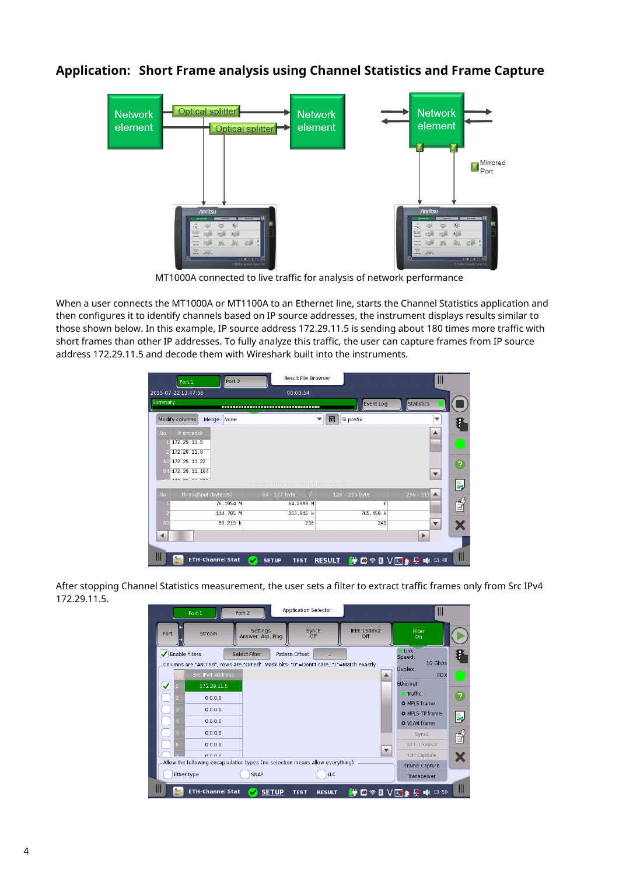## **Application: Short Frame analysis using Channel Statistics and Frame Capture**



MT1000A connected to live traffic for analysis of network performance

When a user connects the MT1000A or MT1100A to an Ethernet line, starts the Channel Statistics application and then configures it to identify channels based on IP source addresses, the instrument displays results similar to those shown below. In this example, IP source address 172.29.11.5 is sending about 180 times more traffic with short frames than other IP addresses. To fully analyze this traffic, the user can capture frames from IP source address 172.29.11.5 and decode them with Wireshark built into the instruments.

| Port 2<br>Port 1                                                                    | Result File Browser                          |                           | Ш                         |
|-------------------------------------------------------------------------------------|----------------------------------------------|---------------------------|---------------------------|
| 2015-07-22 13:47:56                                                                 | 00:00:54                                     |                           |                           |
| Summary                                                                             | ,,,,,,,,,,,,,,,,,,,,,,,,,,,,,,,,,,,          | Event Log                 | <b>Statistics</b>         |
| Modify columns<br>Merge: None                                                       | 圖<br>$\overline{\mathbf{v}}$                 | SI prefix                 | ▼                         |
| IP src.addr.<br>No.                                                                 |                                              |                           | ▲                         |
| 172.29.11.5                                                                         |                                              |                           |                           |
| 172.29.11.0                                                                         |                                              |                           |                           |
| 172.29.11.22<br>60                                                                  |                                              |                           | 2                         |
| 172.29.11.164<br>84<br>470, 20, 44, 220                                             |                                              |                           | $\blacktriangledown$      |
|                                                                                     |                                              |                           | ř,                        |
| Throughput (bytes/s)<br>No.                                                         | 64 - 127 byte                                | 128 - 255 byte            | $256 - 511$ $\triangle$   |
| 76.1954 M                                                                           | 64.2899 M                                    | $\overline{\omega}$       | €                         |
| 114.705 M                                                                           | 353.915 k                                    | 705.459 k                 |                           |
| 58.219 k<br>60                                                                      | 216                                          | 349                       | $\blacktriangledown$<br>Х |
|                                                                                     |                                              |                           | Þ                         |
|                                                                                     |                                              |                           |                           |
| $\mathsf{III}$<br>Ren.<br><b>ETH-Channel Stat</b><br>$\overline{\mathbf{v}}$<br>on. | <b>RESULT</b><br><b>SETUP</b><br><b>TEST</b> | F C' T & V D X D 10 13:48 | Ш                         |

After stopping Channel Statistics measurement, the user sets a filter to extract traffic frames only from Src IPv4 172.29.11.5.

|                | Port 1                                                                                                     | Port 2                        | Application Selector             |                           | $\mathbb{I}$                                           |              |
|----------------|------------------------------------------------------------------------------------------------------------|-------------------------------|----------------------------------|---------------------------|--------------------------------------------------------|--------------|
| Port           | Stream                                                                                                     | Settings<br>Answer: Arp, Ping | SyncE<br>Off                     | <b>IEEE 1588v2</b><br>Off | Filter<br>On                                           |              |
| Enable filters | Columns are "AND'ed", rows are "OR'ed". Mask bits: "0"=Dont't care, "1"=Match exactly.<br>Src IPv4 address | Select Filter                 | $\overline{2}$<br>Pattern Offset |                           | $C$ Link<br>Speed:<br>10 Gbps<br>Duplex:<br><b>FDX</b> | F            |
| ✓<br>2         | 172.29.11.5<br>0.0.0.0                                                                                     |                               |                                  |                           | Ethernet<br><b>C</b> Traffic<br>O MPLS frame           | ?            |
| 3<br>4         | 0.0.0.0<br>0.0.0.0                                                                                         |                               |                                  |                           | O MPLS-TP frame<br>O VLAN frame                        | Ľ,           |
| $5 -$<br>$6 -$ | 0.0.0.0<br>0.0.0.0<br>0000                                                                                 |                               |                                  |                           | SyncE<br><b>IEEE 1588v2</b><br>OH Capture              | ⊉            |
|                | Allow the following encapsulation types (no selection means allow everything):<br>Ether type               | SNAP                          | <b>LLC</b>                       |                           | Frame Capture<br>Transceiver                           |              |
| hm.            | <b>ETH-Channel Stat</b>                                                                                    | <b>SETUP</b>                  | <b>TEST</b><br><b>RESULT</b>     |                           | F B' T S V D Y X D ID 13:50                            | $\mathbb{I}$ |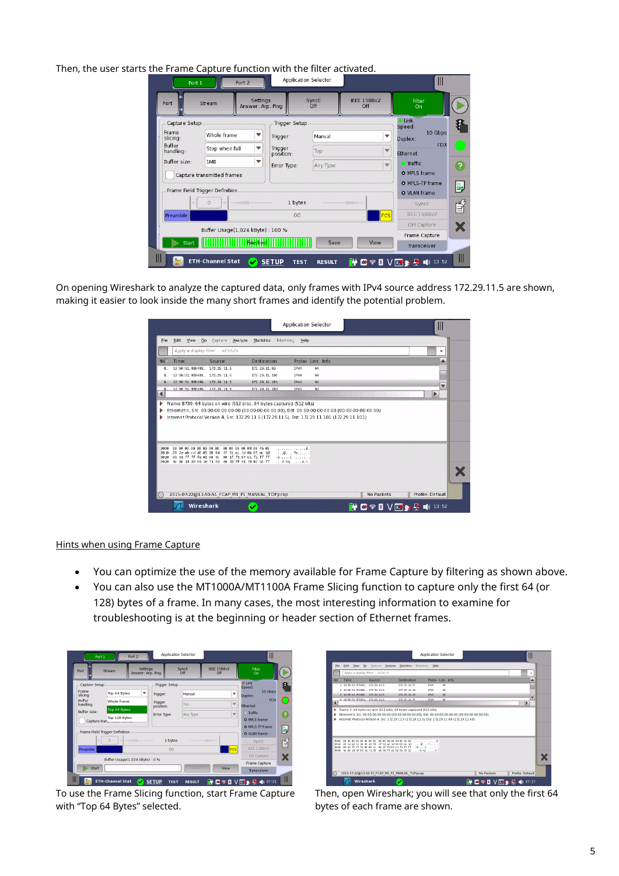Then, the user starts the Frame Capture function with the filter activated.

| -----<br>Port 1                                                                 | Port 2                                                |                                      | <b>Application Selector</b> |                              | Ш                                                                      |              |
|---------------------------------------------------------------------------------|-------------------------------------------------------|--------------------------------------|-----------------------------|------------------------------|------------------------------------------------------------------------|--------------|
| Stream<br>Port                                                                  | Settings<br>Answer: Arp, Ping                         |                                      | SyncE<br>Off                | <b>IEEE 1588v2</b><br>Off    | Filter<br>On                                                           |              |
| Capture Setup<br>Frame<br>Whole frame<br>slicing:<br><b>Buffer</b><br>handling: | ▼<br>Stop when full<br>▼                              | Trigger Setup<br>Trigger:<br>Trigger | Manual<br>Top               | ▼<br>$\overline{\mathbf{v}}$ | $\n  link\n$<br>Speed:<br>10 Gbps<br>Duplex:<br><b>FDX</b><br>Ethernet |              |
| Buffer size:<br>1MB<br>Capture transmitted frames                               | ▼                                                     | position:<br>Error Type:             | Any Type                    | $\overline{\mathbf{v}}$      | <b>O</b> Traffic<br>O MPLS frame<br>O MPLS-TP frame                    | ?<br>Ě,      |
| Frame Field Trigger Definition<br>$\Omega$<br>ó.<br>Preamble                    |                                                       | 1 bytes<br>00                        |                             | <b>FCS</b>                   | O VLAN frame<br>SyncE<br><b>IEEE 1588v2</b>                            | ⊉            |
| Start                                                                           | Buffer Usage(1,024 kByte) : 100 %<br><b> Hnished </b> |                                      | Save                        | View                         | OH Capture<br>Frame Capture<br>Transceiver                             | X            |
| $\mathbb{H}$<br><b>by</b><br><b>ETH-Channel Stat</b>                            |                                                       | <b>SETUP</b><br><b>TEST</b>          | <b>RESULT</b>               | œ                            | B' ବ& V <mark>Σ ¥ 2</mark> 10 13 52                                    | $\mathbb{I}$ |

On opening Wireshark to analyze the captured data, only frames with IPv4 source address 172.29.11.5 are shown, making it easier to look inside the many short frames and identify the potential problem.

|                           |                                        |                                                                                                    |                                                                                                                                                                                                        | <b>Application Selector</b>                                           |            |                          |
|---------------------------|----------------------------------------|----------------------------------------------------------------------------------------------------|--------------------------------------------------------------------------------------------------------------------------------------------------------------------------------------------------------|-----------------------------------------------------------------------|------------|--------------------------|
| File                      | Edit<br>View                           | Go Capture Analyze                                                                                 | Statistics<br>Telephony.                                                                                                                                                                               | Help                                                                  |            |                          |
|                           | Apply a display filter <ctrl-></ctrl-> |                                                                                                    |                                                                                                                                                                                                        |                                                                       |            | $\overline{\phantom{a}}$ |
| No.                       | Time                                   | Source                                                                                             | <b>Destination</b>                                                                                                                                                                                     | Proto: Len Info                                                       |            |                          |
| B.,                       | 13:50:51.880488. 172.29.11.5           |                                                                                                    | 172.29.11.99                                                                                                                                                                                           | IPv4<br>64                                                            |            |                          |
| B.,                       | 13:50:51.880488., 172.29.11.5          |                                                                                                    | 172.29.11.100                                                                                                                                                                                          | IPv4<br>64                                                            |            |                          |
| $B_{-}$                   | 13:58:51.880489 172.29.11.5            |                                                                                                    | 172.29.11.101                                                                                                                                                                                          | IPv4<br>64                                                            |            |                          |
| R<br>$\blacktriangleleft$ | 13:50:51.880489                        | 172.29.11.5                                                                                        | 172.29.11.102                                                                                                                                                                                          | IPv4<br>64                                                            |            | Þ                        |
|                           |                                        |                                                                                                    | Ethernet II, Src: 00:00:00:00:00:00 (00:00:00:00:00:00), Dst: 00:00:00:00:00:00 (00:00:00:00:00:00)<br>Internet Protocol Version 4, Src: 172.29.11.5 (172.29.11.5), Dst: 172.29.11.101 (172.29.11.101) | Frame 8739: 64 bytes on wire (512 bits), 64 bytes captured (512 bits) |            |                          |
|                           |                                        |                                                                                                    |                                                                                                                                                                                                        |                                                                       |            |                          |
| 8888                      |                                        |                                                                                                    |                                                                                                                                                                                                        | . E.                                                                  |            |                          |
| 0018<br>0020              |                                        | 00 2e ab cd 40 00 20 fd 3f 61 ac 1d 0b 05 ac 1d<br>0b 65 ff ff fe 80 00 7c 00 1f f8 07 c1 f1 ff ff |                                                                                                                                                                                                        | $\ldots 0.$ $2.$<br>attacked accessor                                 |            |                          |
| 88.38                     |                                        | 9c 88 18 38 86 3e 71 83 e8 83 ff e1 78 b7 5c f7                                                    |                                                                                                                                                                                                        | 8.20x.                                                                |            |                          |
|                           |                                        |                                                                                                    |                                                                                                                                                                                                        |                                                                       |            |                          |
|                           |                                        |                                                                                                    |                                                                                                                                                                                                        |                                                                       |            |                          |
|                           |                                        |                                                                                                    |                                                                                                                                                                                                        |                                                                       |            |                          |
|                           |                                        |                                                                                                    | 2015-07-22@13-50-51 FCAP M1 P1 MANUAL TOP.pcap                                                                                                                                                         |                                                                       | No Packets | Profile: Default         |

Hints when using Frame Capture

- You can optimize the use of the memory available for Frame Capture by filtering as shown above.
- You can also use the MT1000A/MT1100A Frame Slicing function to capture only the first 64 (or 128) bytes of a frame. In many cases, the most interesting information to examine for troubleshooting is at the beginning or header section of Ethernet frames.

| Port 1                     | Port 2                         |                               | <b>Application Selector</b> |               |                           | Ш                            |                |
|----------------------------|--------------------------------|-------------------------------|-----------------------------|---------------|---------------------------|------------------------------|----------------|
| Port                       | Stream                         | Settings<br>Answer: Arp, Ping | SyncE<br>Off                |               | <b>IFFF 1588v2</b><br>Off | Filter<br>On                 |                |
| Capture Setup              |                                |                               | Trigger Setup               |               |                           | <b>O</b> Link<br>Speed:      | 8              |
| Frame<br>slicina:          | Top 64 Bytes                   | ▼<br>Trigger:                 |                             | Manual        | v                         | 10 Gbps<br>Duplex:           |                |
| <b>Ruffer</b><br>handling: | Whole frame                    | Trigger                       | Top                         |               | $\overline{\mathbf{v}}$   | <b>FDX</b><br>Ethernet       |                |
| Buffer size:               | Top 64 Bytes                   | position:<br>Error Type:      |                             | Any Type      | $\overline{\mathbf{v}}$   | Traffic                      | $\overline{?}$ |
|                            | Top 128 Bytes<br>Capture tran  |                               |                             |               |                           | O MPLS frame                 |                |
|                            | Frame Field Trigger Definition |                               |                             |               |                           | O MPLS-TP frame              | Ľ,             |
|                            |                                |                               |                             |               |                           | O VLAN frame                 |                |
|                            | $\mathbf{0}$                   |                               | 1 bytes                     |               |                           | SyncE                        | É              |
| Preamble                   |                                |                               | 00                          |               | <b>FCS</b>                | <b>IFFF 1588v2</b>           |                |
|                            | Buffer Usage(1,024 kByte): 0 % |                               |                             |               |                           | OH Capture                   | Х              |
|                            |                                |                               |                             |               |                           | Frame Capture                |                |
| Start                      |                                |                               |                             | Save          | View                      | Transceiver                  |                |
| Ш                          | <b>ETH-Channel Stat</b>        | <b>SETUP</b><br>v             | <b>TEST</b>                 | <b>RESULT</b> |                           | <b>HOSE VERY EX 10 07:21</b> |                |

To use the Frame Slicing function, start Frame Capture with "Top 64 Bytes" selected.

|                      |                                 | Apply a display filter <ctrl-></ctrl->                                                             |                                                                    |                                 |    |   |
|----------------------|---------------------------------|----------------------------------------------------------------------------------------------------|--------------------------------------------------------------------|---------------------------------|----|---|
| No.                  | Time                            | Source                                                                                             | <b>Destination</b>                                                 | Proto: Len Info                 |    |   |
|                      | 1 13:50:51.573149., 172.29.11.5 |                                                                                                    | 172.29.11.67                                                       | <b>IPM</b>                      | 64 |   |
|                      | 2 13:50:51.873150 172.29.11.5   |                                                                                                    | 172.29.11.68                                                       | TPML                            | 64 |   |
|                      | 3 13:50:51.873150., 172.29.11.5 |                                                                                                    | 172.29.11.69                                                       | TENA                            | RA | ▼ |
| $\blacktriangleleft$ | 4 13:50:51.873151. 172.29.11.5  |                                                                                                    | 172.29.11.70                                                       | <b>IPM</b>                      | 64 | Þ |
|                      |                                 |                                                                                                    | Frame 3: 64 bytes on wire (512 bits), 64 bytes captured (512 bits) |                                 |    |   |
|                      |                                 |                                                                                                    | 00 00 00 00 00 00 45 00                                            | communication of the            |    |   |
| 0000                 | 03 03 03 09 09 09 09 09 09      |                                                                                                    |                                                                    |                                 |    |   |
| 00.20                |                                 | 00 2e ab cd 40 00 20 fd 3f 01 ac 1d 0b 05 ac 1d                                                    |                                                                    | 02                              |    |   |
| 0020<br>00.30        |                                 | ob 45 ff ff fe op op 7c op 1f fm 07 c1 f1 ff ff<br>9c 00 18 38 05 3e 71 83 e0 83 ff e1 b2 55 98 22 |                                                                    | district in com-<br>5.29.  10.7 |    |   |

Then, open Wireshark; you will see that only the first 64 bytes of each frame are shown.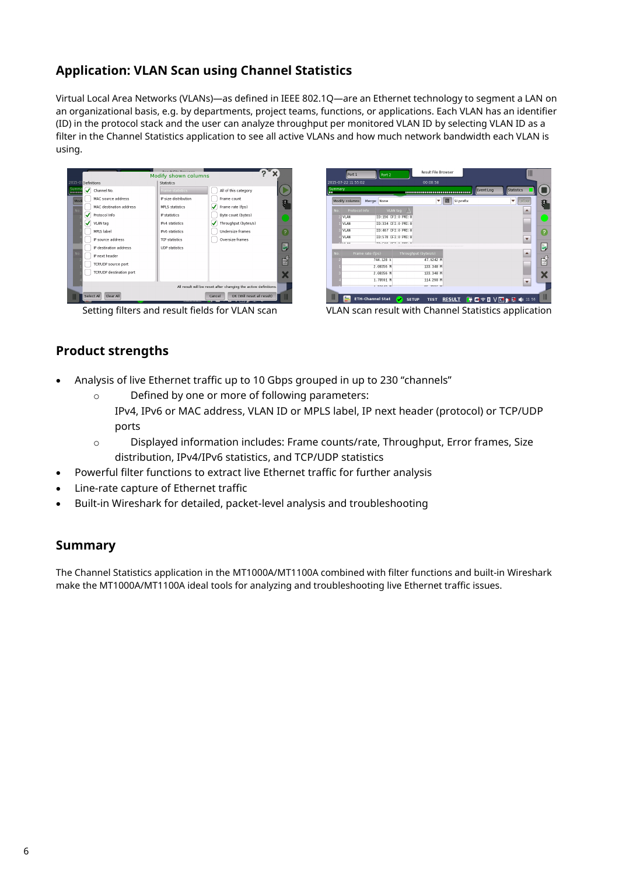# **Application: VLAN Scan using Channel Statistics**

Virtual Local Area Networks (VLANs)—as defined in IEEE 802.1Q—are an Ethernet technology to segment a LAN on an organizational basis, e.g. by departments, project teams, functions, or applications. Each VLAN has an identifier (ID) in the protocol stack and the user can analyze throughput per monitored VLAN ID by selecting VLAN ID as a filter in the Channel Statistics application to see all active VLANs and how much network bandwidth each VLAN is using.

| 2015-07 Definitions            | <b>Statistics</b>      |                                                                 |
|--------------------------------|------------------------|-----------------------------------------------------------------|
| Summa<br>✓<br>Channel No.<br>  | Frame statistics       | All of this category                                            |
| MAC source address<br>Mod      | IP size distribution   | Frame count                                                     |
| MAC destination address<br>No. | <b>MPLS</b> statistics | Frame rate (fps)                                                |
| Protocol Info<br>м             | IP statistics          | Byte count (bytes)                                              |
| VLAN tag                       | IPv4 statistics        | Throughput (bytes/s)                                            |
| MPLS label                     | IPv6 statistics        | <b>Undersize frames</b>                                         |
| IP source address              | <b>TCP statistics</b>  | Oversize frames                                                 |
| IP destination address         | <b>UDP</b> statistics  |                                                                 |
| No.<br>IP next header          |                        |                                                                 |
| TCP/UDP source port            |                        |                                                                 |
| TCP/UDP destination port       |                        |                                                                 |
|                                |                        | All result will be reset after changing the active definitions. |

|              | Port 1                         | Port 2             |                                          | <b>Result File Browser</b> |                |           | $\mathbb{I}$                   |    |
|--------------|--------------------------------|--------------------|------------------------------------------|----------------------------|----------------|-----------|--------------------------------|----|
|              | 2015-07-22 11:55:02            |                    |                                          | 00:00:58                   |                |           |                                |    |
| Summary<br>п |                                |                    |                                          |                            |                | Event Log | <b>Statistics</b>              |    |
|              | Modify columns                 | Merge: None        |                                          | v                          | 圜<br>SI prefix |           | Follow                         |    |
| No.          | Protocol Info                  | VLAN tag           |                                          |                            |                |           |                                |    |
|              | VLAN                           | ID:156 CFI:0 PRI:0 |                                          |                            |                |           |                                |    |
|              | <b>VI AN</b>                   | ID:334 CFI:0 PRI:0 |                                          |                            |                |           |                                |    |
|              | VLAN                           | ID:467 CFI:0 PRI:0 |                                          |                            |                |           |                                | 7  |
|              | VLAN                           | ID:578 CFI:0 PRI:0 |                                          |                            |                |           | $\overline{\mathbf{v}}$        |    |
|              | 171.431                        | TO-FOR OFT-D       | DOT - O                                  |                            |                |           |                                | Ě, |
| No.          | Frame rate (fps)               |                    | Throughput (bytes/s)                     |                            |                |           |                                |    |
|              |                                | 744.128 k          |                                          | 47.6242 M                  |                |           |                                |    |
|              |                                | 2.08356 M          |                                          | 133.348 M                  |                |           |                                |    |
| R            |                                | 2.08356 M          |                                          | 133.348 M                  |                |           |                                |    |
|              |                                | 1.78591 M          |                                          | 114.298 M                  |                |           | $\overline{\phantom{a}}$       |    |
|              |                                | 4. BBB-48-48       |                                          | $\overline{a}$<br>2000.00  |                |           |                                |    |
| Ш            | <b>ETH-Channel Stat</b><br>Box |                    | <b>SETUP</b><br>$\overline{\phantom{a}}$ | <b>TEST</b>                |                |           | RESULT 单 2 全 图 V 区 & 区 1 11 56 | Ш  |

Setting filters and result fields for VLAN scan value of VLAN scan result with Channel Statistics application

# **Product strengths**

- Analysis of live Ethernet traffic up to 10 Gbps grouped in up to 230 "channels"
	- o Defined by one or more of following parameters: IPv4, IPv6 or MAC address, VLAN ID or MPLS label, IP next header (protocol) or TCP/UDP ports
	- o Displayed information includes: Frame counts/rate, Throughput, Error frames, Size distribution, IPv4/IPv6 statistics, and TCP/UDP statistics
- Powerful filter functions to extract live Ethernet traffic for further analysis
- Line-rate capture of Ethernet traffic
- Built-in Wireshark for detailed, packet-level analysis and troubleshooting

# **Summary**

The Channel Statistics application in the MT1000A/MT1100A combined with filter functions and built-in Wireshark make the MT1000A/MT1100A ideal tools for analyzing and troubleshooting live Ethernet traffic issues.